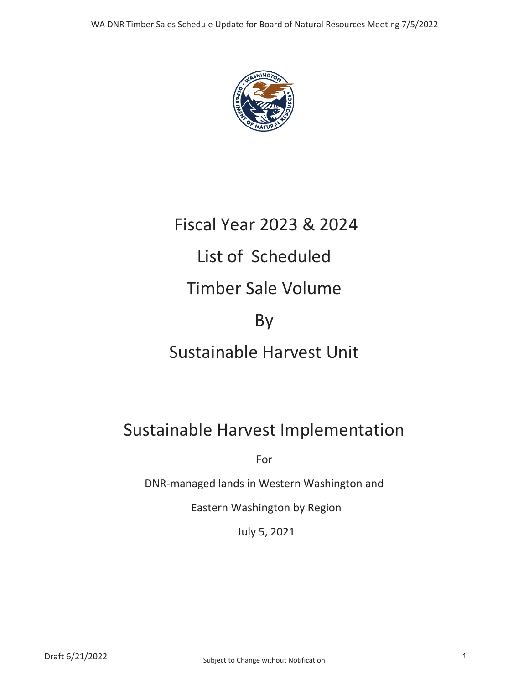

# Fiscal Year 2023 & 2024 List of Scheduled Timber Sale Volume By Sustainable Harvest Unit

### Sustainable Harvest Implementation

For

DNR-managed lands in Western Washington and

Eastern Washington by Region

July 5, 2021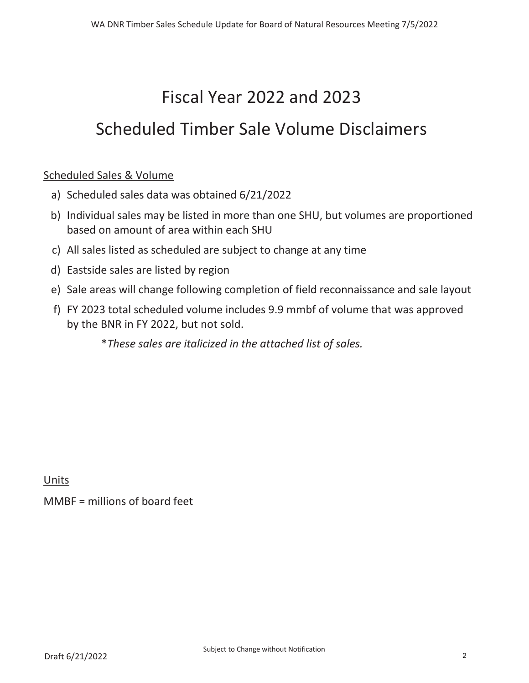## Fiscal Year  $2022$  and  $2023$

### Scheduled Timber Sale Volume Disclaimers

#### Scheduled Sales & Volume

- a) Scheduled sales data was obtained  $6/21/2022$
- b) Individual sales may be listed in more than one SHU, but volumes are proportioned based on amount of area within each SHU
- c) All sales listed as scheduled are subject to change at any time
- d) Eastside sales are listed by region
- e) Sale areas will change following completion of field reconnaissance and sale layout
- f) FY 2023 total scheduled volume includes 9.9 mmbf of volume that was approved by the BNR in FY 2022, but not sold.

\* *These sales are italicized in the attached list of sales.* 

Units

MMBF = millions of board feet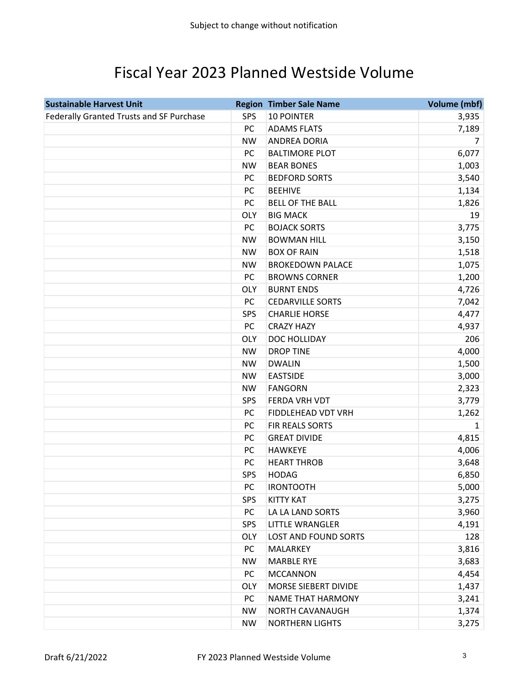### Fiscal Year 2023 Planned Westside Volume

| <b>Sustainable Harvest Unit</b>          |            | <b>Region Timber Sale Name</b> | <b>Volume (mbf)</b> |
|------------------------------------------|------------|--------------------------------|---------------------|
| Federally Granted Trusts and SF Purchase | <b>SPS</b> | <b>10 POINTER</b>              | 3,935               |
|                                          | PC         | <b>ADAMS FLATS</b>             | 7,189               |
|                                          | <b>NW</b>  | <b>ANDREA DORIA</b>            | 7                   |
|                                          | PC         | <b>BALTIMORE PLOT</b>          | 6,077               |
|                                          | <b>NW</b>  | <b>BEAR BONES</b>              | 1,003               |
|                                          | PC         | <b>BEDFORD SORTS</b>           | 3,540               |
|                                          | PC         | <b>BEEHIVE</b>                 | 1,134               |
|                                          | PC         | <b>BELL OF THE BALL</b>        | 1,826               |
|                                          | <b>OLY</b> | <b>BIG MACK</b>                | 19                  |
|                                          | PC         | <b>BOJACK SORTS</b>            | 3,775               |
|                                          | <b>NW</b>  | <b>BOWMAN HILL</b>             | 3,150               |
|                                          | <b>NW</b>  | <b>BOX OF RAIN</b>             | 1,518               |
|                                          | <b>NW</b>  | <b>BROKEDOWN PALACE</b>        | 1,075               |
|                                          | PC         | <b>BROWNS CORNER</b>           | 1,200               |
|                                          | <b>OLY</b> | <b>BURNT ENDS</b>              | 4,726               |
|                                          | PC         | <b>CEDARVILLE SORTS</b>        | 7,042               |
|                                          | <b>SPS</b> | <b>CHARLIE HORSE</b>           | 4,477               |
|                                          | PC         | <b>CRAZY HAZY</b>              | 4,937               |
|                                          | <b>OLY</b> | DOC HOLLIDAY                   | 206                 |
|                                          | <b>NW</b>  | <b>DROP TINE</b>               | 4,000               |
|                                          | <b>NW</b>  | <b>DWALIN</b>                  | 1,500               |
|                                          | <b>NW</b>  | <b>EASTSIDE</b>                | 3,000               |
|                                          | <b>NW</b>  | <b>FANGORN</b>                 | 2,323               |
|                                          | <b>SPS</b> | FERDA VRH VDT                  | 3,779               |
|                                          | <b>PC</b>  | FIDDLEHEAD VDT VRH             | 1,262               |
|                                          | PC         | FIR REALS SORTS                | $\mathbf{1}$        |
|                                          | PC         | <b>GREAT DIVIDE</b>            | 4,815               |
|                                          | PC         | <b>HAWKEYE</b>                 | 4,006               |
|                                          | PC         | <b>HEART THROB</b>             | 3,648               |
|                                          | SPS        | <b>HODAG</b>                   | 6,850               |
|                                          | PC         | <b>IRONTOOTH</b>               | 5,000               |
|                                          | <b>SPS</b> | <b>KITTY KAT</b>               | 3,275               |
|                                          | PC         | LA LA LAND SORTS               | 3,960               |
|                                          | <b>SPS</b> | <b>LITTLE WRANGLER</b>         | 4,191               |
|                                          | <b>OLY</b> | <b>LOST AND FOUND SORTS</b>    | 128                 |
|                                          | PC         | MALARKEY                       | 3,816               |
|                                          | <b>NW</b>  | <b>MARBLE RYE</b>              | 3,683               |
|                                          | PC         | <b>MCCANNON</b>                | 4,454               |
|                                          | <b>OLY</b> | MORSE SIEBERT DIVIDE           | 1,437               |
|                                          | PC         | <b>NAME THAT HARMONY</b>       | 3,241               |
|                                          | <b>NW</b>  | NORTH CAVANAUGH                | 1,374               |
|                                          | <b>NW</b>  | <b>NORTHERN LIGHTS</b>         | 3,275               |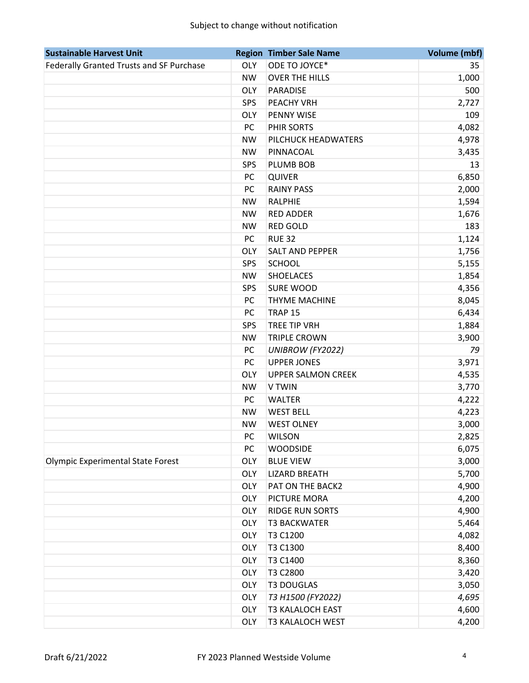#### Subject to change without notification

| <b>Sustainable Harvest Unit</b>          |            | <b>Region Timber Sale Name</b> | <b>Volume (mbf)</b> |
|------------------------------------------|------------|--------------------------------|---------------------|
| Federally Granted Trusts and SF Purchase | <b>OLY</b> | ODE TO JOYCE*                  | 35                  |
|                                          | <b>NW</b>  | <b>OVER THE HILLS</b>          | 1,000               |
|                                          | <b>OLY</b> | <b>PARADISE</b>                | 500                 |
|                                          | <b>SPS</b> | PEACHY VRH                     | 2,727               |
|                                          | <b>OLY</b> | PENNY WISE                     | 109                 |
|                                          | PC         | PHIR SORTS                     | 4,082               |
|                                          | <b>NW</b>  | PILCHUCK HEADWATERS            | 4,978               |
|                                          | <b>NW</b>  | PINNACOAL                      | 3,435               |
|                                          | SPS        | PLUMB BOB                      | 13                  |
|                                          | PC         | <b>QUIVER</b>                  | 6,850               |
|                                          | PC         | <b>RAINY PASS</b>              | 2,000               |
|                                          | <b>NW</b>  | <b>RALPHIE</b>                 | 1,594               |
|                                          | <b>NW</b>  | <b>RED ADDER</b>               | 1,676               |
|                                          | <b>NW</b>  | <b>RED GOLD</b>                | 183                 |
|                                          | PC         | <b>RUE 32</b>                  | 1,124               |
|                                          | <b>OLY</b> | <b>SALT AND PEPPER</b>         | 1,756               |
|                                          | <b>SPS</b> | <b>SCHOOL</b>                  | 5,155               |
|                                          | <b>NW</b>  | <b>SHOELACES</b>               | 1,854               |
|                                          | SPS        | <b>SURE WOOD</b>               | 4,356               |
|                                          | PC         | <b>THYME MACHINE</b>           | 8,045               |
|                                          | PC         | TRAP <sub>15</sub>             | 6,434               |
|                                          | <b>SPS</b> | <b>TREE TIP VRH</b>            | 1,884               |
|                                          | <b>NW</b>  | <b>TRIPLE CROWN</b>            | 3,900               |
|                                          | PC         | UNIBROW (FY2022)               | 79                  |
|                                          | PC         | <b>UPPER JONES</b>             | 3,971               |
|                                          | <b>OLY</b> | <b>UPPER SALMON CREEK</b>      | 4,535               |
|                                          | <b>NW</b>  | V TWIN                         | 3,770               |
|                                          | PC         | <b>WALTER</b>                  | 4,222               |
|                                          | <b>NW</b>  | <b>WEST BELL</b>               | 4,223               |
|                                          | <b>NW</b>  | <b>WEST OLNEY</b>              | 3,000               |
|                                          | PC         | <b>WILSON</b>                  | 2,825               |
|                                          | PC         | <b>WOODSIDE</b>                | 6,075               |
| <b>Olympic Experimental State Forest</b> | <b>OLY</b> | <b>BLUE VIEW</b>               | 3,000               |
|                                          | <b>OLY</b> | <b>LIZARD BREATH</b>           | 5,700               |
|                                          | <b>OLY</b> | PAT ON THE BACK2               | 4,900               |
|                                          | <b>OLY</b> | PICTURE MORA                   | 4,200               |
|                                          | <b>OLY</b> | <b>RIDGE RUN SORTS</b>         | 4,900               |
|                                          | <b>OLY</b> | <b>T3 BACKWATER</b>            | 5,464               |
|                                          | <b>OLY</b> | T3 C1200                       | 4,082               |
|                                          | <b>OLY</b> | T3 C1300                       | 8,400               |
|                                          | <b>OLY</b> | T3 C1400                       | 8,360               |
|                                          | <b>OLY</b> | T3 C2800                       | 3,420               |
|                                          | <b>OLY</b> | <b>T3 DOUGLAS</b>              | 3,050               |
|                                          | <b>OLY</b> | T3 H1500 (FY2022)              | 4,695               |
|                                          | <b>OLY</b> | <b>T3 KALALOCH EAST</b>        | 4,600               |
|                                          | <b>OLY</b> | <b>T3 KALALOCH WEST</b>        | 4,200               |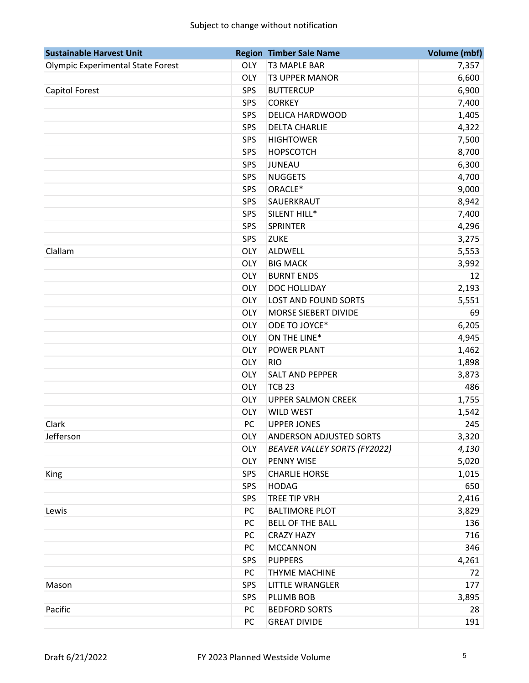#### Subject to change without notification

| <b>Sustainable Harvest Unit</b>          |            | <b>Region Timber Sale Name</b>      | <b>Volume (mbf)</b> |
|------------------------------------------|------------|-------------------------------------|---------------------|
| <b>Olympic Experimental State Forest</b> | <b>OLY</b> | <b>T3 MAPLE BAR</b>                 | 7,357               |
|                                          | <b>OLY</b> | <b>T3 UPPER MANOR</b>               | 6,600               |
| Capitol Forest                           | <b>SPS</b> | <b>BUTTERCUP</b>                    | 6,900               |
|                                          | SPS        | <b>CORKEY</b>                       | 7,400               |
|                                          | SPS        | <b>DELICA HARDWOOD</b>              | 1,405               |
|                                          | <b>SPS</b> | <b>DELTA CHARLIE</b>                | 4,322               |
|                                          | SPS        | <b>HIGHTOWER</b>                    | 7,500               |
|                                          | SPS        | <b>HOPSCOTCH</b>                    | 8,700               |
|                                          | SPS        | <b>JUNEAU</b>                       | 6,300               |
|                                          | SPS        | <b>NUGGETS</b>                      | 4,700               |
|                                          | <b>SPS</b> | ORACLE*                             | 9,000               |
|                                          | SPS        | SAUERKRAUT                          | 8,942               |
|                                          | SPS        | SILENT HILL*                        | 7,400               |
|                                          | <b>SPS</b> | <b>SPRINTER</b>                     | 4,296               |
|                                          | <b>SPS</b> | <b>ZUKE</b>                         | 3,275               |
| Clallam                                  | <b>OLY</b> | ALDWELL                             | 5,553               |
|                                          | <b>OLY</b> | <b>BIG MACK</b>                     | 3,992               |
|                                          | <b>OLY</b> | <b>BURNT ENDS</b>                   | 12                  |
|                                          | <b>OLY</b> | DOC HOLLIDAY                        | 2,193               |
|                                          | <b>OLY</b> | <b>LOST AND FOUND SORTS</b>         | 5,551               |
|                                          | <b>OLY</b> | MORSE SIEBERT DIVIDE                | 69                  |
|                                          | <b>OLY</b> | ODE TO JOYCE*                       | 6,205               |
|                                          | <b>OLY</b> | ON THE LINE*                        | 4,945               |
|                                          | <b>OLY</b> | <b>POWER PLANT</b>                  | 1,462               |
|                                          | <b>OLY</b> | <b>RIO</b>                          | 1,898               |
|                                          | <b>OLY</b> | <b>SALT AND PEPPER</b>              | 3,873               |
|                                          | <b>OLY</b> | <b>TCB 23</b>                       | 486                 |
|                                          | <b>OLY</b> | <b>UPPER SALMON CREEK</b>           | 1,755               |
|                                          | <b>OLY</b> | <b>WILD WEST</b>                    | 1,542               |
| Clark                                    | PC         | <b>UPPER JONES</b>                  | 245                 |
| Jefferson                                | <b>OLY</b> | ANDERSON ADJUSTED SORTS             | 3,320               |
|                                          | <b>OLY</b> | <b>BEAVER VALLEY SORTS (FY2022)</b> | 4,130               |
|                                          | <b>OLY</b> | PENNY WISE                          | 5,020               |
| King                                     | <b>SPS</b> | <b>CHARLIE HORSE</b>                | 1,015               |
|                                          | <b>SPS</b> | <b>HODAG</b>                        | 650                 |
|                                          | <b>SPS</b> | TREE TIP VRH                        | 2,416               |
| Lewis                                    | PC         | <b>BALTIMORE PLOT</b>               | 3,829               |
|                                          | PC         | <b>BELL OF THE BALL</b>             | 136                 |
|                                          | PC         | <b>CRAZY HAZY</b>                   | 716                 |
|                                          | PC         | <b>MCCANNON</b>                     | 346                 |
|                                          | <b>SPS</b> | <b>PUPPERS</b>                      | 4,261               |
|                                          | PC         | THYME MACHINE                       | 72                  |
| Mason                                    | SPS        | <b>LITTLE WRANGLER</b>              | 177                 |
|                                          | <b>SPS</b> | PLUMB BOB                           | 3,895               |
| Pacific                                  | PC         | <b>BEDFORD SORTS</b>                | 28                  |
|                                          | PC         | <b>GREAT DIVIDE</b>                 | 191                 |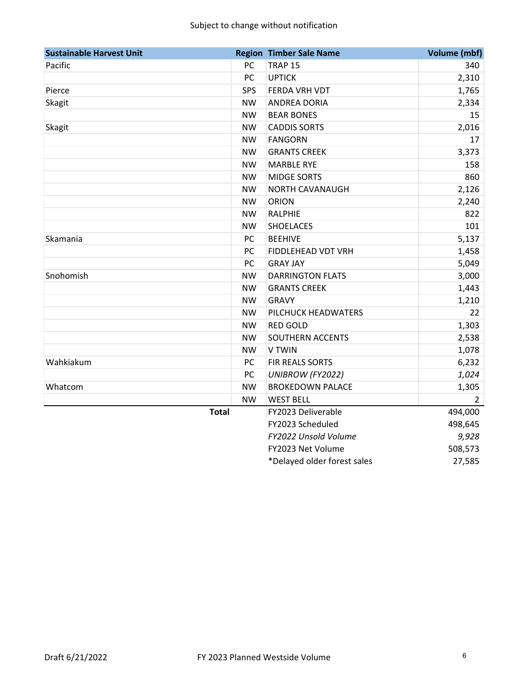| <b>Sustainable Harvest Unit</b> |            | <b>Region Timber Sale Name</b> | Volume (mbf)   |
|---------------------------------|------------|--------------------------------|----------------|
| Pacific                         | PC         | <b>TRAP 15</b>                 | 340            |
|                                 | PC         | <b>UPTICK</b>                  | 2,310          |
| Pierce                          | <b>SPS</b> | FERDA VRH VDT                  | 1,765          |
| Skagit                          | <b>NW</b>  | ANDREA DORIA                   | 2,334          |
|                                 | <b>NW</b>  | <b>BEAR BONES</b>              | 15             |
| Skagit                          | <b>NW</b>  | <b>CADDIS SORTS</b>            | 2,016          |
|                                 | <b>NW</b>  | <b>FANGORN</b>                 | 17             |
|                                 | <b>NW</b>  | <b>GRANTS CREEK</b>            | 3,373          |
|                                 | <b>NW</b>  | <b>MARBLE RYE</b>              | 158            |
|                                 | <b>NW</b>  | <b>MIDGE SORTS</b>             | 860            |
|                                 | <b>NW</b>  | NORTH CAVANAUGH                | 2,126          |
|                                 | <b>NW</b>  | <b>ORION</b>                   | 2,240          |
|                                 | <b>NW</b>  | <b>RALPHIE</b>                 | 822            |
|                                 | <b>NW</b>  | <b>SHOELACES</b>               | 101            |
| Skamania                        | PC         | <b>BEEHIVE</b>                 | 5,137          |
|                                 | PC         | FIDDLEHEAD VDT VRH             | 1,458          |
|                                 | <b>PC</b>  | <b>GRAY JAY</b>                | 5,049          |
| Snohomish                       | <b>NW</b>  | <b>DARRINGTON FLATS</b>        | 3,000          |
|                                 | <b>NW</b>  | <b>GRANTS CREEK</b>            | 1,443          |
|                                 | <b>NW</b>  | <b>GRAVY</b>                   | 1,210          |
|                                 | <b>NW</b>  | PILCHUCK HEADWATERS            | 22             |
|                                 | <b>NW</b>  | <b>RED GOLD</b>                | 1,303          |
|                                 | <b>NW</b>  | SOUTHERN ACCENTS               | 2,538          |
|                                 | <b>NW</b>  | V TWIN                         | 1,078          |
| Wahkiakum                       | PC         | FIR REALS SORTS                | 6,232          |
|                                 | PC         | UNIBROW (FY2022)               | 1,024          |
| Whatcom                         | <b>NW</b>  | <b>BROKEDOWN PALACE</b>        | 1,305          |
|                                 | <b>NW</b>  | <b>WEST BELL</b>               | $\overline{2}$ |
| <b>Total</b>                    |            | FY2023 Deliverable             | 494,000        |
|                                 |            | FY2023 Scheduled               | 498,645        |
|                                 |            | FY2022 Unsold Volume           | 9,928          |
|                                 |            | FY2023 Net Volume              | 508,573        |
|                                 |            | *Delayed older forest sales    | 27,585         |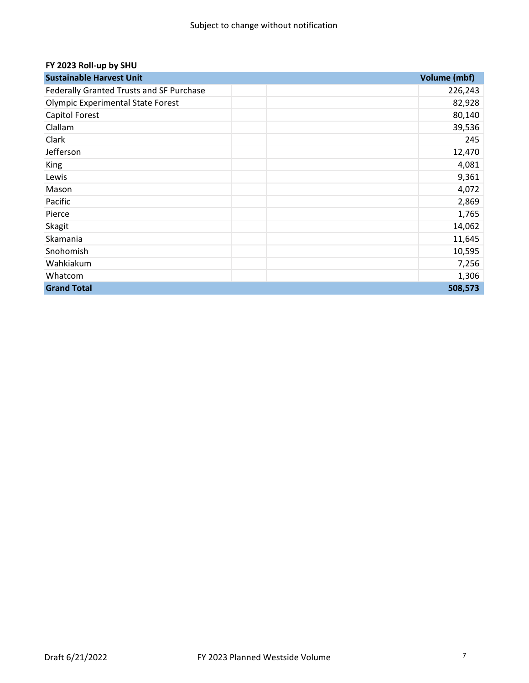#### **FY 2023 Roll‐up by SHU**

| <b>Sustainable Harvest Unit</b>                 | Volume (mbf) |
|-------------------------------------------------|--------------|
| <b>Federally Granted Trusts and SF Purchase</b> | 226,243      |
| Olympic Experimental State Forest               | 82,928       |
| Capitol Forest                                  | 80,140       |
| Clallam                                         | 39,536       |
| Clark                                           | 245          |
| Jefferson                                       | 12,470       |
| King                                            | 4,081        |
| Lewis                                           | 9,361        |
| Mason                                           | 4,072        |
| Pacific                                         | 2,869        |
| Pierce                                          | 1,765        |
| Skagit                                          | 14,062       |
| Skamania                                        | 11,645       |
| Snohomish                                       | 10,595       |
| Wahkiakum                                       | 7,256        |
| Whatcom                                         | 1,306        |
| <b>Grand Total</b>                              | 508,573      |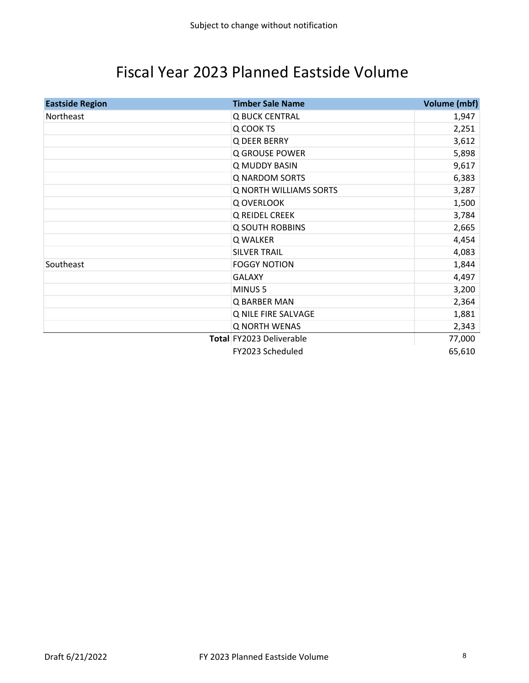### Fiscal Year 2023 Planned Eastside Volume

| <b>Eastside Region</b> | <b>Timber Sale Name</b>  | Volume (mbf) |
|------------------------|--------------------------|--------------|
| Northeast              | Q BUCK CENTRAL           | 1,947        |
|                        | Q COOK TS                | 2,251        |
|                        | Q DEER BERRY             | 3,612        |
|                        | Q GROUSE POWER           | 5,898        |
|                        | Q MUDDY BASIN            | 9,617        |
|                        | <b>Q NARDOM SORTS</b>    | 6,383        |
|                        | Q NORTH WILLIAMS SORTS   | 3,287        |
|                        | Q OVERLOOK               | 1,500        |
|                        | Q REIDEL CREEK           | 3,784        |
|                        | <b>Q SOUTH ROBBINS</b>   | 2,665        |
|                        | Q WALKER                 | 4,454        |
|                        | <b>SILVER TRAIL</b>      | 4,083        |
| Southeast              | <b>FOGGY NOTION</b>      | 1,844        |
|                        | <b>GALAXY</b>            | 4,497        |
|                        | MINUS <sub>5</sub>       | 3,200        |
|                        | Q BARBER MAN             | 2,364        |
|                        | Q NILE FIRE SALVAGE      | 1,881        |
|                        | <b>Q NORTH WENAS</b>     | 2,343        |
|                        | Total FY2023 Deliverable | 77,000       |
|                        | FY2023 Scheduled         | 65,610       |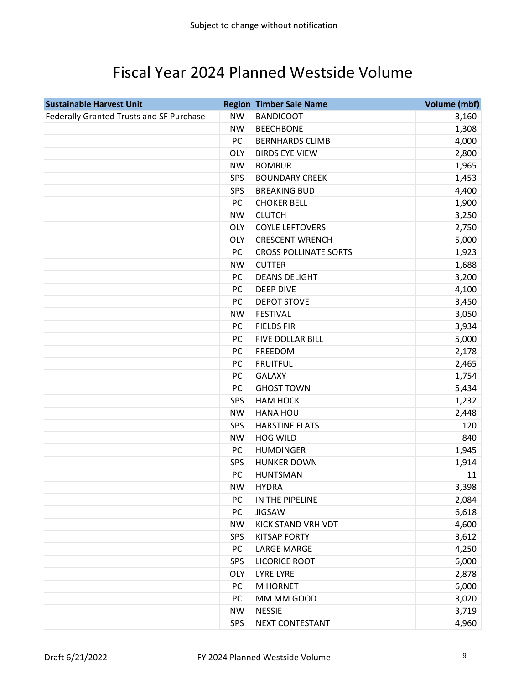### Fiscal Year 2024 Planned Westside Volume

| <b>Sustainable Harvest Unit</b>          |            | <b>Region Timber Sale Name</b> | <b>Volume (mbf)</b> |
|------------------------------------------|------------|--------------------------------|---------------------|
| Federally Granted Trusts and SF Purchase | <b>NW</b>  | <b>BANDICOOT</b>               | 3,160               |
|                                          | <b>NW</b>  | <b>BEECHBONE</b>               | 1,308               |
|                                          | PC         | <b>BERNHARDS CLIMB</b>         | 4,000               |
|                                          | <b>OLY</b> | <b>BIRDS EYE VIEW</b>          | 2,800               |
|                                          | <b>NW</b>  | <b>BOMBUR</b>                  | 1,965               |
|                                          | <b>SPS</b> | <b>BOUNDARY CREEK</b>          | 1,453               |
|                                          | <b>SPS</b> | <b>BREAKING BUD</b>            | 4,400               |
|                                          | PC         | <b>CHOKER BELL</b>             | 1,900               |
|                                          | <b>NW</b>  | <b>CLUTCH</b>                  | 3,250               |
|                                          | <b>OLY</b> | <b>COYLE LEFTOVERS</b>         | 2,750               |
|                                          | <b>OLY</b> | <b>CRESCENT WRENCH</b>         | 5,000               |
|                                          | PC         | <b>CROSS POLLINATE SORTS</b>   | 1,923               |
|                                          | <b>NW</b>  | <b>CUTTER</b>                  | 1,688               |
|                                          | PC         | <b>DEANS DELIGHT</b>           | 3,200               |
|                                          | PC         | <b>DEEP DIVE</b>               | 4,100               |
|                                          | PC         | <b>DEPOT STOVE</b>             | 3,450               |
|                                          | <b>NW</b>  | <b>FESTIVAL</b>                | 3,050               |
|                                          | PC         | <b>FIELDS FIR</b>              | 3,934               |
|                                          | PC         | FIVE DOLLAR BILL               | 5,000               |
|                                          | PC         | <b>FREEDOM</b>                 | 2,178               |
|                                          | PC         | <b>FRUITFUL</b>                | 2,465               |
|                                          | PC         | <b>GALAXY</b>                  | 1,754               |
|                                          | PC         | <b>GHOST TOWN</b>              | 5,434               |
|                                          | SPS        | НАМ НОСК                       | 1,232               |
|                                          | <b>NW</b>  | HANA HOU                       | 2,448               |
|                                          | SPS        | <b>HARSTINE FLATS</b>          | 120                 |
|                                          | <b>NW</b>  | <b>HOG WILD</b>                | 840                 |
|                                          | PC         | <b>HUMDINGER</b>               | 1,945               |
|                                          | SPS        | <b>HUNKER DOWN</b>             | 1,914               |
|                                          | PC         | <b>HUNTSMAN</b>                | 11                  |
|                                          | <b>NW</b>  | <b>HYDRA</b>                   | 3,398               |
|                                          | PC         | IN THE PIPELINE                | 2,084               |
|                                          | PC         | <b>JIGSAW</b>                  | 6,618               |
|                                          | <b>NW</b>  | <b>KICK STAND VRH VDT</b>      | 4,600               |
|                                          | <b>SPS</b> | <b>KITSAP FORTY</b>            | 3,612               |
|                                          | PC         | <b>LARGE MARGE</b>             | 4,250               |
|                                          | SPS        | <b>LICORICE ROOT</b>           | 6,000               |
|                                          | <b>OLY</b> | <b>LYRE LYRE</b>               | 2,878               |
|                                          | PC         | M HORNET                       | 6,000               |
|                                          | PC         | MM MM GOOD                     | 3,020               |
|                                          | <b>NW</b>  | <b>NESSIE</b>                  | 3,719               |
|                                          | SPS        | <b>NEXT CONTESTANT</b>         | 4,960               |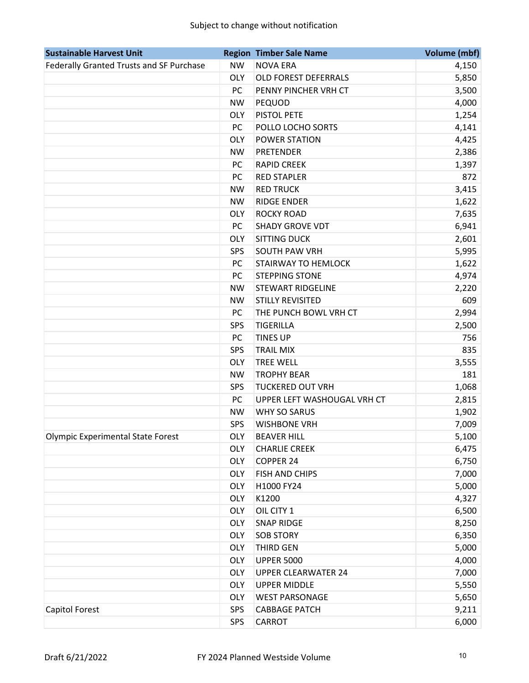| <b>Sustainable Harvest Unit</b>          |            | <b>Region Timber Sale Name</b> | <b>Volume (mbf)</b> |
|------------------------------------------|------------|--------------------------------|---------------------|
| Federally Granted Trusts and SF Purchase | <b>NW</b>  | <b>NOVA ERA</b>                | 4,150               |
|                                          | <b>OLY</b> | OLD FOREST DEFERRALS           | 5,850               |
|                                          | PC         | PENNY PINCHER VRH CT           | 3,500               |
|                                          | <b>NW</b>  | PEQUOD                         | 4,000               |
|                                          | <b>OLY</b> | PISTOL PETE                    | 1,254               |
|                                          | PC         | POLLO LOCHO SORTS              | 4,141               |
|                                          | <b>OLY</b> | POWER STATION                  | 4,425               |
|                                          | <b>NW</b>  | <b>PRETENDER</b>               | 2,386               |
|                                          | PC         | <b>RAPID CREEK</b>             | 1,397               |
|                                          | PC         | <b>RED STAPLER</b>             | 872                 |
|                                          | <b>NW</b>  | <b>RED TRUCK</b>               | 3,415               |
|                                          | <b>NW</b>  | <b>RIDGE ENDER</b>             | 1,622               |
|                                          | <b>OLY</b> | <b>ROCKY ROAD</b>              | 7,635               |
|                                          | PC         | <b>SHADY GROVE VDT</b>         | 6,941               |
|                                          | <b>OLY</b> | <b>SITTING DUCK</b>            | 2,601               |
|                                          | SPS        | <b>SOUTH PAW VRH</b>           | 5,995               |
|                                          | PC         | <b>STAIRWAY TO HEMLOCK</b>     | 1,622               |
|                                          | PC         | <b>STEPPING STONE</b>          | 4,974               |
|                                          | <b>NW</b>  | <b>STEWART RIDGELINE</b>       | 2,220               |
|                                          | <b>NW</b>  | <b>STILLY REVISITED</b>        | 609                 |
|                                          | PC         | THE PUNCH BOWL VRH CT          | 2,994               |
|                                          | SPS        | <b>TIGERILLA</b>               | 2,500               |
|                                          | PC         | <b>TINES UP</b>                | 756                 |
|                                          | SPS        | <b>TRAIL MIX</b>               | 835                 |
|                                          | <b>OLY</b> | <b>TREE WELL</b>               | 3,555               |
|                                          | <b>NW</b>  | <b>TROPHY BEAR</b>             | 181                 |
|                                          | <b>SPS</b> | <b>TUCKERED OUT VRH</b>        | 1,068               |
|                                          | PC         | UPPER LEFT WASHOUGAL VRH CT    | 2,815               |
|                                          | <b>NW</b>  | WHY SO SARUS                   | 1,902               |
|                                          | SPS        | <b>WISHBONE VRH</b>            | 7,009               |
| Olympic Experimental State Forest        | OLY        | <b>BEAVER HILL</b>             | 5,100               |
|                                          | <b>OLY</b> | <b>CHARLIE CREEK</b>           | 6,475               |
|                                          | <b>OLY</b> | <b>COPPER 24</b>               | 6,750               |
|                                          | <b>OLY</b> | FISH AND CHIPS                 | 7,000               |
|                                          | <b>OLY</b> | H1000 FY24                     | 5,000               |
|                                          | <b>OLY</b> | K1200                          | 4,327               |
|                                          | <b>OLY</b> | OIL CITY 1                     | 6,500               |
|                                          | <b>OLY</b> | <b>SNAP RIDGE</b>              | 8,250               |
|                                          | <b>OLY</b> | <b>SOB STORY</b>               | 6,350               |
|                                          | <b>OLY</b> | <b>THIRD GEN</b>               | 5,000               |
|                                          | <b>OLY</b> | <b>UPPER 5000</b>              | 4,000               |
|                                          | <b>OLY</b> | <b>UPPER CLEARWATER 24</b>     | 7,000               |
|                                          | <b>OLY</b> | <b>UPPER MIDDLE</b>            | 5,550               |
|                                          | <b>OLY</b> | <b>WEST PARSONAGE</b>          | 5,650               |
| Capitol Forest                           | <b>SPS</b> | <b>CABBAGE PATCH</b>           | 9,211               |
|                                          | <b>SPS</b> | CARROT                         | 6,000               |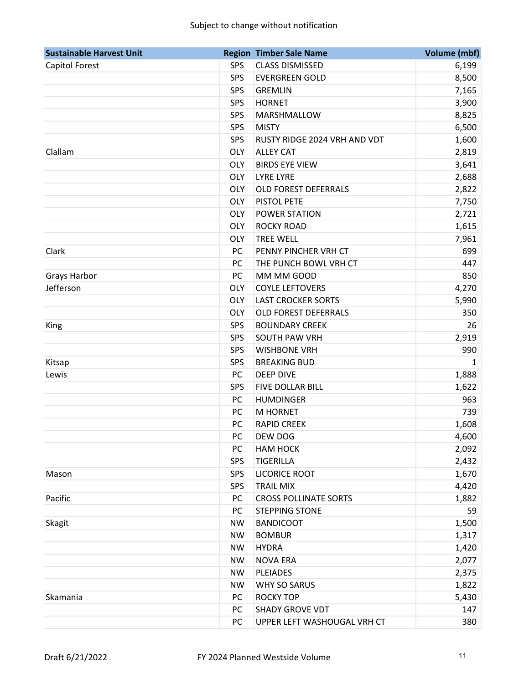| <b>Sustainable Harvest Unit</b> |            | <b>Region Timber Sale Name</b> | <b>Volume (mbf)</b> |
|---------------------------------|------------|--------------------------------|---------------------|
| Capitol Forest                  | <b>SPS</b> | <b>CLASS DISMISSED</b>         | 6,199               |
|                                 | <b>SPS</b> | <b>EVERGREEN GOLD</b>          | 8,500               |
|                                 | SPS        | <b>GREMLIN</b>                 | 7,165               |
|                                 | <b>SPS</b> | <b>HORNET</b>                  | 3,900               |
|                                 | SPS        | MARSHMALLOW                    | 8,825               |
|                                 | <b>SPS</b> | <b>MISTY</b>                   | 6,500               |
|                                 | <b>SPS</b> | RUSTY RIDGE 2024 VRH AND VDT   | 1,600               |
| Clallam                         | <b>OLY</b> | <b>ALLEY CAT</b>               | 2,819               |
|                                 | <b>OLY</b> | <b>BIRDS EYE VIEW</b>          | 3,641               |
|                                 | <b>OLY</b> | <b>LYRE LYRE</b>               | 2,688               |
|                                 | <b>OLY</b> | <b>OLD FOREST DEFERRALS</b>    | 2,822               |
|                                 | <b>OLY</b> | <b>PISTOL PETE</b>             | 7,750               |
|                                 | <b>OLY</b> | <b>POWER STATION</b>           | 2,721               |
|                                 | <b>OLY</b> | <b>ROCKY ROAD</b>              | 1,615               |
|                                 | <b>OLY</b> | <b>TREE WELL</b>               | 7,961               |
| Clark                           | <b>PC</b>  | PENNY PINCHER VRH CT           | 699                 |
|                                 | PC         | THE PUNCH BOWL VRH CT          | 447                 |
| <b>Grays Harbor</b>             | PC         | MM MM GOOD                     | 850                 |
| Jefferson                       | <b>OLY</b> | <b>COYLE LEFTOVERS</b>         | 4,270               |
|                                 | <b>OLY</b> | <b>LAST CROCKER SORTS</b>      | 5,990               |
|                                 | <b>OLY</b> | <b>OLD FOREST DEFERRALS</b>    | 350                 |
| King                            | SPS        | <b>BOUNDARY CREEK</b>          | 26                  |
|                                 | SPS        | <b>SOUTH PAW VRH</b>           | 2,919               |
|                                 | <b>SPS</b> | <b>WISHBONE VRH</b>            | 990                 |
| Kitsap                          | SPS        | <b>BREAKING BUD</b>            | $\mathbf{1}$        |
| Lewis                           | PC         | <b>DEEP DIVE</b>               | 1,888               |
|                                 | SPS        | FIVE DOLLAR BILL               | 1,622               |
|                                 | PC         | <b>HUMDINGER</b>               | 963                 |
|                                 | PC         | <b>M HORNET</b>                | 739                 |
|                                 | PC         | <b>RAPID CREEK</b>             | 1,608               |
|                                 | PC         | <b>DEW DOG</b>                 | 4,600               |
|                                 | PC         | <b>HAM HOCK</b>                | 2,092               |
|                                 | SPS        | <b>TIGERILLA</b>               | 2,432               |
| Mason                           | <b>SPS</b> | <b>LICORICE ROOT</b>           | 1,670               |
|                                 | <b>SPS</b> | <b>TRAIL MIX</b>               | 4,420               |
| Pacific                         | PC         | <b>CROSS POLLINATE SORTS</b>   | 1,882               |
|                                 | <b>PC</b>  | <b>STEPPING STONE</b>          | 59                  |
| Skagit                          | <b>NW</b>  | <b>BANDICOOT</b>               | 1,500               |
|                                 | <b>NW</b>  | <b>BOMBUR</b>                  | 1,317               |
|                                 | <b>NW</b>  | <b>HYDRA</b>                   | 1,420               |
|                                 | <b>NW</b>  | <b>NOVA ERA</b>                | 2,077               |
|                                 | <b>NW</b>  | <b>PLEIADES</b>                | 2,375               |
|                                 | <b>NW</b>  | <b>WHY SO SARUS</b>            | 1,822               |
| Skamania                        | PC         | <b>ROCKY TOP</b>               | 5,430               |
|                                 | PC         | <b>SHADY GROVE VDT</b>         | 147                 |
|                                 | <b>PC</b>  | UPPER LEFT WASHOUGAL VRH CT    | 380                 |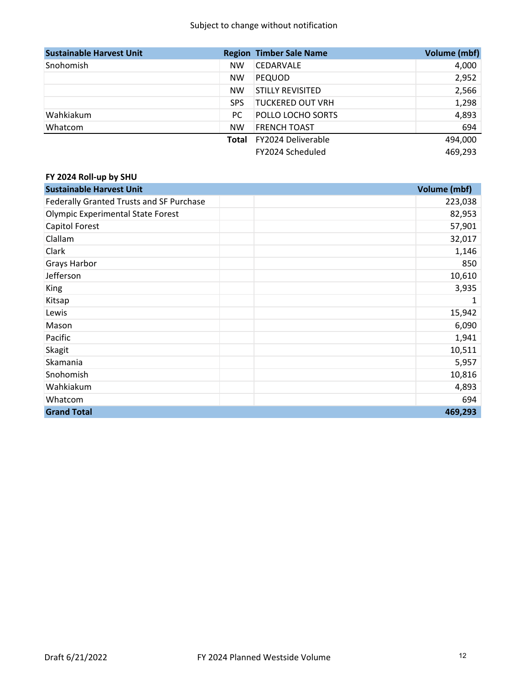| <b>Sustainable Harvest Unit</b> |            | <b>Region Timber Sale Name</b> | Volume (mbf) |
|---------------------------------|------------|--------------------------------|--------------|
| Snohomish                       | <b>NW</b>  | <b>CEDARVALE</b>               | 4,000        |
|                                 | <b>NW</b>  | <b>PEQUOD</b>                  | 2,952        |
|                                 | <b>NW</b>  | <b>STILLY REVISITED</b>        | 2,566        |
|                                 | <b>SPS</b> | <b>TUCKERED OUT VRH</b>        | 1,298        |
| Wahkiakum                       | PC.        | POLLO LOCHO SORTS              | 4,893        |
| Whatcom                         | <b>NW</b>  | <b>FRENCH TOAST</b>            | 694          |
|                                 | Total      | FY2024 Deliverable             | 494,000      |
|                                 |            | FY2024 Scheduled               | 469,293      |

#### **FY 2024 Roll‐up by SHU**

| <b>Sustainable Harvest Unit</b>          | Volume (mbf) |
|------------------------------------------|--------------|
| Federally Granted Trusts and SF Purchase | 223,038      |
| <b>Olympic Experimental State Forest</b> | 82,953       |
| Capitol Forest                           | 57,901       |
| Clallam                                  | 32,017       |
| Clark                                    | 1,146        |
| <b>Grays Harbor</b>                      | 850          |
| Jefferson                                | 10,610       |
| King                                     | 3,935        |
| Kitsap                                   | 1            |
| Lewis                                    | 15,942       |
| Mason                                    | 6,090        |
| Pacific                                  | 1,941        |
| <b>Skagit</b>                            | 10,511       |
| Skamania                                 | 5,957        |
| Snohomish                                | 10,816       |
| Wahkiakum                                | 4,893        |
| Whatcom                                  | 694          |
| <b>Grand Total</b>                       | 469,293      |